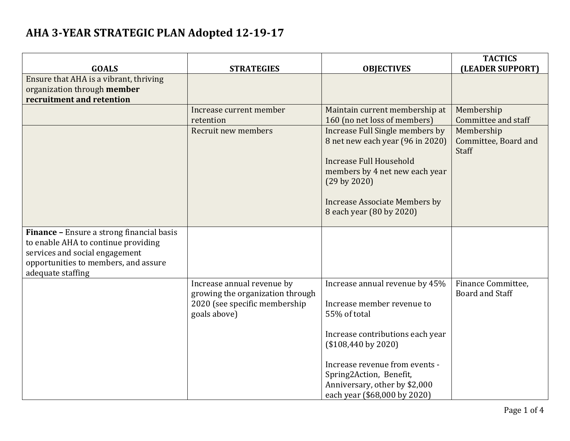|                                                                                  |                                                                |                                                                  | <b>TACTICS</b>                               |
|----------------------------------------------------------------------------------|----------------------------------------------------------------|------------------------------------------------------------------|----------------------------------------------|
| <b>GOALS</b><br>Ensure that AHA is a vibrant, thriving                           | <b>STRATEGIES</b>                                              | <b>OBJECTIVES</b>                                                | (LEADER SUPPORT)                             |
| organization through member                                                      |                                                                |                                                                  |                                              |
| recruitment and retention                                                        |                                                                |                                                                  |                                              |
|                                                                                  | Increase current member                                        | Maintain current membership at                                   | Membership                                   |
|                                                                                  | retention                                                      | 160 (no net loss of members)                                     | Committee and staff                          |
|                                                                                  | Recruit new members                                            | Increase Full Single members by                                  | Membership                                   |
|                                                                                  |                                                                | 8 net new each year (96 in 2020)                                 | Committee, Board and<br>Staff                |
|                                                                                  |                                                                | <b>Increase Full Household</b>                                   |                                              |
|                                                                                  |                                                                | members by 4 net new each year<br>$(29 \text{ by } 2020)$        |                                              |
|                                                                                  |                                                                |                                                                  |                                              |
|                                                                                  |                                                                | <b>Increase Associate Members by</b><br>8 each year (80 by 2020) |                                              |
|                                                                                  |                                                                |                                                                  |                                              |
| Finance - Ensure a strong financial basis<br>to enable AHA to continue providing |                                                                |                                                                  |                                              |
| services and social engagement                                                   |                                                                |                                                                  |                                              |
| opportunities to members, and assure                                             |                                                                |                                                                  |                                              |
| adequate staffing                                                                |                                                                |                                                                  |                                              |
|                                                                                  | Increase annual revenue by<br>growing the organization through | Increase annual revenue by 45%                                   | Finance Committee,<br><b>Board and Staff</b> |
|                                                                                  | 2020 (see specific membership                                  | Increase member revenue to                                       |                                              |
|                                                                                  | goals above)                                                   | 55% of total                                                     |                                              |
|                                                                                  |                                                                | Increase contributions each year                                 |                                              |
|                                                                                  |                                                                | $($108,440$ by $2020)$                                           |                                              |
|                                                                                  |                                                                | Increase revenue from events -                                   |                                              |
|                                                                                  |                                                                | Spring2Action, Benefit,                                          |                                              |
|                                                                                  |                                                                | Anniversary, other by \$2,000                                    |                                              |
|                                                                                  |                                                                | each year (\$68,000 by 2020)                                     |                                              |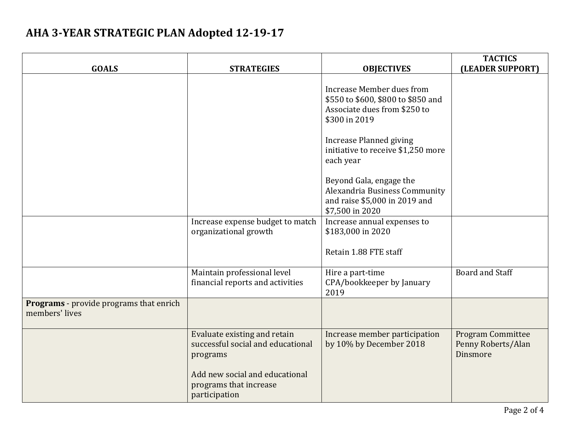| <b>GOALS</b>                                              | <b>STRATEGIES</b>                                                                                                                                          | <b>OBJECTIVES</b>                                                                                                                                  | <b>TACTICS</b><br>(LEADER SUPPORT)                         |
|-----------------------------------------------------------|------------------------------------------------------------------------------------------------------------------------------------------------------------|----------------------------------------------------------------------------------------------------------------------------------------------------|------------------------------------------------------------|
|                                                           |                                                                                                                                                            | Increase Member dues from<br>\$550 to \$600, \$800 to \$850 and<br>Associate dues from \$250 to<br>\$300 in 2019<br><b>Increase Planned giving</b> |                                                            |
|                                                           |                                                                                                                                                            | initiative to receive \$1,250 more<br>each year<br>Beyond Gala, engage the<br>Alexandria Business Community                                        |                                                            |
|                                                           |                                                                                                                                                            | and raise \$5,000 in 2019 and<br>\$7,500 in 2020                                                                                                   |                                                            |
|                                                           | Increase expense budget to match<br>organizational growth                                                                                                  | Increase annual expenses to<br>\$183,000 in 2020<br>Retain 1.88 FTE staff                                                                          |                                                            |
|                                                           | Maintain professional level<br>financial reports and activities                                                                                            | Hire a part-time<br>CPA/bookkeeper by January<br>2019                                                                                              | Board and Staff                                            |
| Programs - provide programs that enrich<br>members' lives |                                                                                                                                                            |                                                                                                                                                    |                                                            |
|                                                           | Evaluate existing and retain<br>successful social and educational<br>programs<br>Add new social and educational<br>programs that increase<br>participation | Increase member participation<br>by 10% by December 2018                                                                                           | <b>Program Committee</b><br>Penny Roberts/Alan<br>Dinsmore |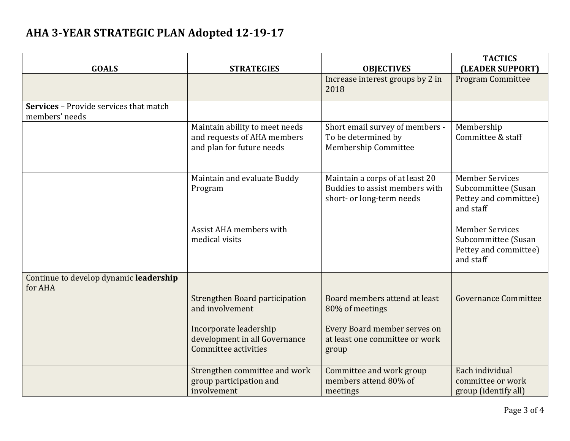| <b>GOALS</b>                                                    | <b>STRATEGIES</b>                                                                                                                    | <b>OBJECTIVES</b>                                                                                                           | <b>TACTICS</b><br>(LEADER SUPPORT)                                                  |
|-----------------------------------------------------------------|--------------------------------------------------------------------------------------------------------------------------------------|-----------------------------------------------------------------------------------------------------------------------------|-------------------------------------------------------------------------------------|
|                                                                 |                                                                                                                                      | Increase interest groups by 2 in<br>2018                                                                                    | <b>Program Committee</b>                                                            |
| <b>Services - Provide services that match</b><br>members' needs |                                                                                                                                      |                                                                                                                             |                                                                                     |
|                                                                 | Maintain ability to meet needs<br>and requests of AHA members<br>and plan for future needs                                           | Short email survey of members -<br>To be determined by<br>Membership Committee                                              | Membership<br>Committee & staff                                                     |
|                                                                 | Maintain and evaluate Buddy<br>Program                                                                                               | Maintain a corps of at least 20<br>Buddies to assist members with<br>short- or long-term needs                              | <b>Member Services</b><br>Subcommittee (Susan<br>Pettey and committee)<br>and staff |
|                                                                 | Assist AHA members with<br>medical visits                                                                                            |                                                                                                                             | <b>Member Services</b><br>Subcommittee (Susan<br>Pettey and committee)<br>and staff |
| Continue to develop dynamic leadership<br>for AHA               |                                                                                                                                      |                                                                                                                             |                                                                                     |
|                                                                 | Strengthen Board participation<br>and involvement<br>Incorporate leadership<br>development in all Governance<br>Committee activities | Board members attend at least<br>80% of meetings<br>Every Board member serves on<br>at least one committee or work<br>group | <b>Governance Committee</b>                                                         |
|                                                                 | Strengthen committee and work<br>group participation and<br>involvement                                                              | Committee and work group<br>members attend 80% of<br>meetings                                                               | Each individual<br>committee or work<br>group (identify all)                        |